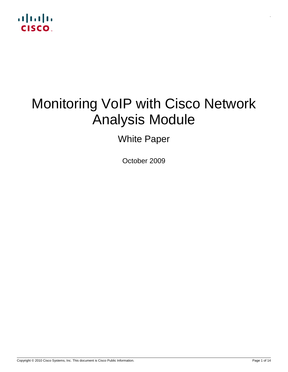

# Monitoring VoIP with Cisco Network Analysis Module

White Paper

October 2009

.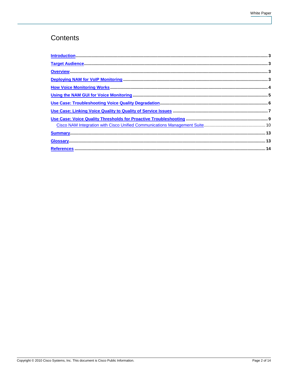# Contents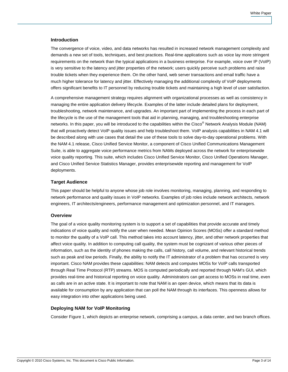#### <span id="page-2-0"></span>**Introduction**

The convergence of voice, video, and data networks has resulted in increased network management complexity and demands a new set of tools, techniques, and best practices. Real-time applications such as voice lay more stringent requirements on the network than the typical applications in a business enterprise. For example, voice over IP (VoIP) is very sensitive to the latency and jitter properties of the network; users quickly perceive such problems and raise trouble tickets when they experience them. On the other hand, web server transactions and email traffic have a much higher tolerance for latency and jitter. Effectively managing the additional complexity of VoIP deployments offers significant benefits to IT personnel by reducing trouble tickets and maintaining a high level of user satisfaction.

A comprehensive management strategy requires alignment with organizational processes as well as consistency in managing the entire application delivery lifecycle. Examples of the latter include detailed plans for deployment, troubleshooting, network maintenance, and upgrades. An important part of implementing the process in each part of the lifecycle is the use of the management tools that aid in planning, managing, and troubleshooting enterprise networks. In this paper, you will be introduced to the capabilities within the Cisco<sup>®</sup> Network Analysis Module (NAM) that will proactively detect VoIP quality issues and help troubleshoot them. VoIP analysis capabilities in NAM 4.1 will be described along with use cases that detail the use of these tools to solve day-to-day operational problems. With the NAM 4.1 release, Cisco Unified Service Monitor, a component of Cisco Unified Communications Management Suite, is able to aggregate voice performance metrics from NAMs deployed across the network for enterprisewide voice quality reporting. This suite, which includes Cisco Unified Service Monitor, Cisco Unified Operations Manager, and Cisco Unified Service Statistics Manager, provides enterprisewide reporting and management for VoIP deployments.

# <span id="page-2-1"></span>**Target Audience**

This paper should be helpful to anyone whose job role involves monitoring, managing, planning, and responding to network performance and quality issues in VoIP networks. Examples of job roles include network architects, network engineers, IT architects/engineers, performance management and optimization personnel, and IT managers.

# <span id="page-2-2"></span>**Overview**

The goal of a voice quality monitoring system is to support a set of capabilities that provide accurate and timely indications of voice quality and notify the user when needed. Mean Opinion Scores (MOSs) offer a standard method to monitor the quality of a VoIP call. This method takes into account latency, jitter, and other network properties that affect voice quality. In addition to computing call quality, the system must be cognizant of various other pieces of information, such as the identity of phones making the calls, call history, call volume, and relevant historical trends such as peak and low periods. Finally, the ability to notify the IT administrator of a problem that has occurred is very important. Cisco NAM provides these capabilities: NAM detects and computes MOSs for VoIP calls transported through Real Time Protocol (RTP) streams. MOS is computed periodically and reported through NAM's GUI, which provides real-time and historical reporting on voice quality. Administrators can get access to MOSs in real time, even as calls are in an active state. It is important to note that NAM is an open device, which means that its data is available for consumption by any application that can poll the NAM through its interfaces. This openness allows for easy integration into other applications being used.

# <span id="page-2-3"></span>**Deploying NAM for VoIP Monitoring**

Consider Figure 1, which depicts an enterprise network, comprising a campus, a data center, and two branch offices.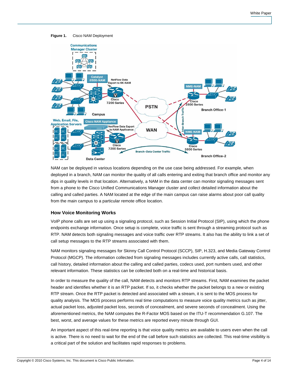

**Figure 1.** Cisco NAM Deployment

NAM can be deployed in various locations depending on the use case being addressed. For example, when deployed in a branch, NAM can monitor the quality of all calls entering and exiting that branch office and monitor any dips in quality levels in that location. Alternatively, a NAM in the data center can monitor signaling messages sent from a phone to the Cisco Unified Communications Manager cluster and collect detailed information about the calling and called parties. A NAM located at the edge of the main campus can raise alarms about poor call quality from the main campus to a particular remote office location.

# <span id="page-3-0"></span>**How Voice Monitoring Works**

VoIP phone calls are set up using a signaling protocol, such as Session Initial Protocol (SIP), using which the phone endpoints exchange information. Once setup is complete, voice traffic is sent through a streaming protocol such as RTP. NAM detects both signaling messages and voice traffic over RTP streams. It also has the ability to link a set of call setup messages to the RTP streams associated with them.

NAM monitors signaling messages for Skinny Call Control Protocol (SCCP), SIP, H.323, and Media Gateway Control Protocol (MGCP). The information collected from signaling messages includes currently active calls, call statistics, call history, detailed information about the calling and called parties, codecs used, port numbers used, and other relevant information. These statistics can be collected both on a real-time and historical basis.

In order to measure the quality of the call, NAM detects and monitors RTP streams. First, NAM examines the packet header and identifies whether it is an RTP packet. If so, it checks whether the packet belongs to a new or existing RTP stream. Once the RTP packet is detected and associated with a stream, it is sent to the MOS process for quality analysis. The MOS process performs real time computations to measure voice quality metrics such as jitter, actual packet loss, adjusted packet loss, seconds of concealment, and severe seconds of concealment. Using the aforementioned metrics, the NAM computes the R-Factor MOS based on the ITU-T recommendation G.107. The best, worst, and average values for these metrics are reported every minute through GUI.

An important aspect of this real-time reporting is that voice quality metrics are available to users even when the call is active. There is no need to wait for the end of the call before such statistics are collected. This real-time visibility is a critical part of the solution and facilitates rapid responses to problems.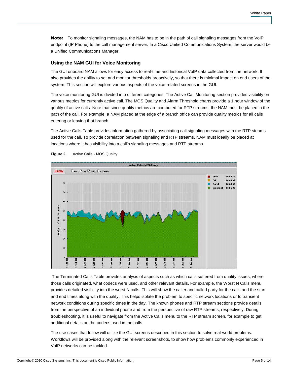Note: To monitor signaling messages, the NAM has to be in the path of call signaling messages from the VoIP endpoint (IP Phone) to the call management server. In a Cisco Unified Communications System, the server would be a Unified Communications Manager.

#### <span id="page-4-0"></span>**Using the NAM GUI for Voice Monitoring**

The GUI onboard NAM allows for easy access to real-time and historical VoIP data collected from the network. It also provides the ability to set and monitor thresholds proactively, so that there is minimal impact on end users of the system. This section will explore various aspects of the voice-related screens in the GUI.

The voice monitoring GUI is divided into different categories. The Active Call Monitoring section provides visibility on various metrics for currently active call. The MOS Quality and Alarm Threshold charts provide a 1 hour window of the quality of active calls. Note that since quality metrics are computed for RTP streams, the NAM must be placed in the path of the call. For example, a NAM placed at the edge of a branch office can provide quality metrics for all calls entering or leaving that branch.

The Active Calls Table provides information gathered by associating call signaling messages with the RTP steams used for the call. To provide correlation between signaling and RTP streams, NAM must ideally be placed at locations where it has visibility into a call's signaling messages and RTP streams.



**Figure 2.** Active Calls - MOS Quality

 The Terminated Calls Table provides analysis of aspects such as which calls suffered from quality issues, where those calls originated, what codecs were used, and other relevant details. For example, the Worst N Calls menu provides detailed visibility into the worst N calls. This will show the caller and called party for the calls and the start and end times along with the quality. This helps isolate the problem to specific network locations or to transient network conditions during specific times in the day. The known phones and RTP stream sections provide details from the perspective of an individual phone and from the perspective of raw RTP streams, respectively. During troubleshooting, it is useful to navigate from the Active Calls menu to the RTP stream screen, for example to get additional details on the codecs used in the calls.

The use cases that follow will utilize the GUI screens described in this section to solve real-world problems. Workflows will be provided along with the relevant screenshots, to show how problems commonly experienced in VoIP networks can be tackled.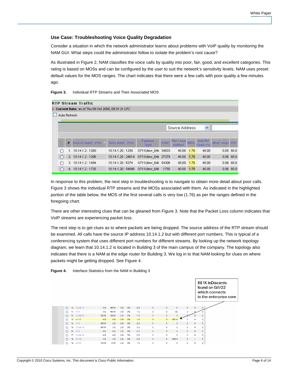# <span id="page-5-0"></span>**Use Case: Troubleshooting Voice Quality Degradation**

Consider a situation in which the network administrator learns about problems with VoIP quality by monitoring the NAM GUI. What steps could the administrator follow to isolate the problem's root cause?

As illustrated in Figure 2, NAM classifies the voice calls by quality into poor, fair, good, and excellent categories. This rating is based on MOSs and can be configured by the user to suit the network's sensitivity levels. NAM uses preset default values for the MOS ranges. The chart indicates that there were a few calls with poor quality a few minutes ago.

|              |   | RTP Stream Traffic                                |                    |                        |             |                                           |         |                            |                 |              |
|--------------|---|---------------------------------------------------|--------------------|------------------------|-------------|-------------------------------------------|---------|----------------------------|-----------------|--------------|
|              |   | Current Data: as of Thu 09 Oct 2008, 09:31:21 UTC |                    |                        |             |                                           |         |                            |                 |              |
| Auto Refresh |   |                                                   |                    |                        |             |                                           |         |                            |                 |              |
|              |   |                                                   |                    |                        |             |                                           |         |                            |                 |              |
|              |   |                                                   |                    |                        |             | Source Address                            |         | Y                          |                 |              |
|              |   |                                                   |                    |                        |             |                                           |         |                            |                 |              |
|              | # | Source Addr: Port V   Best Addr: Port             |                    | Payload<br><b>Type</b> | <b>SSRC</b> | <b>Pkt Loss</b><br><i><b>Imillion</b></i> | MOS     | <b>Adj Pkt</b><br>Loss (%) | Jitter (ms) SSC |              |
| Ω            |   | 1. 10.14.1.2:1280                                 | 10.14.1.20:1250    | G711Ulaw_64k 34933     |             | 40.00                                     | 4.76    | 40.00                      |                 | 0.0560.0     |
|              |   | 2. 10.14.1.2:1296                                 | 10.14.1.20:24614   | G711Ulaw 64k 27379     |             | 40.00                                     | 1.76    | 40.00                      |                 | $0.06$ 60.0  |
| ◯            |   | 3. 10.14.1.2:1494                                 | 10.14.1.20:6374    | G711Ulaw_64k 54306     |             | 40.00                                     | 1.76    | 40.00                      |                 | $0.06\ 60.0$ |
|              |   | 4. 10.14.1.2:1730                                 | 10.14.1.20 : 54846 | G711Ulaw 64k           | 1750        | 40.00                                     | $-1.76$ | 40.00                      |                 | $0.06$ 60.0  |

**Figure 3.** Individual RTP Streams and Their Associated MOS

In response to this problem, the next step in troubleshooting is to navigate to obtain more detail about poor calls. Figure 3 shows the individual RTP streams and the MOSs associated with them. As indicated in the highlighted portion of the table below, the MOS of the first several calls is very low (1.76) as per the ranges defined in the foregoing chart.

There are other interesting clues that can be gleaned from Figure 3. Note that the Packet Loss column indicates that VoIP streams are experiencing packet loss.

The next step is to get clues as to where packets are being dropped. The source address of the RTP stream should be examined. All calls have the source IP address 10.14.1.2 but with different port numbers. This is typical of a conferencing system that uses different port numbers for different streams. By looking up the network topology diagram, we learn that 10.14.1.2 is located in Building 3 of the main campus of the company. The topology also indicates that there is a NAM at the edge router for Building 3. We log in to that NAM looking for clues on where packets might be getting dropped. See Figure 4.



**Figure 4.** Interface Statistics from the NAM in Building 3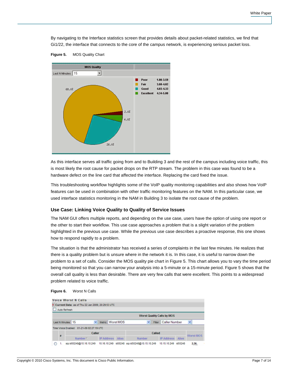By navigating to the Interface statistics screen that provides details about packet-related statistics, we find that Gi1/22, the interface that connects to the core of the campus network, is experiencing serious packet loss.



**Figure 5.** MOS Quality Chart

As this interface serves all traffic going from and to Building 3 and the rest of the campus including voice traffic, this is most likely the root cause for packet drops on the RTP stream. The problem in this case was found to be a hardware defect on the line card that affected the interface. Replacing the card fixed the issue.

This troubleshooting workflow highlights some of the VoIP quality monitoring capabilities and also shows how VoIP features can be used in combination with other traffic monitoring features on the NAM. In this particular case, we used interface statistics monitoring in the NAM in Building 3 to isolate the root cause of the problem.

#### <span id="page-6-0"></span>**Use Case: Linking Voice Quality to Quality of Service Issues**

The NAM GUI offers multiple reports, and depending on the use case, users have the option of using one report or the other to start their workflow. This use case approaches a problem that is a slight variation of the problem highlighted in the previous use case. While the previous use case describes a proactive response, this one shows how to respond rapidly to a problem.

The situation is that the administrator has received a series of complaints in the last few minutes. He realizes that there is a quality problem but is unsure where in the network it is. In this case, it is useful to narrow down the problem to a set of calls. Consider the MOS quality pie chart in Figure 5. This chart allows you to vary the time period being monitored so that you can narrow your analysis into a 5-minute or a 15-minute period. Figure 5 shows that the overall call quality is less than desirable. There are very few calls that were excellent. This points to a widespread problem related to voice traffic.



|                                                                                |        | <b>Voice Worst N Calls</b>                        |       |        |                                                                                     |       |           |      |  |  |  |
|--------------------------------------------------------------------------------|--------|---------------------------------------------------|-------|--------|-------------------------------------------------------------------------------------|-------|-----------|------|--|--|--|
|                                                                                |        | Current Data: as of Thu 22 Jan 2009, 20:29:53 UTC |       |        |                                                                                     |       |           |      |  |  |  |
|                                                                                |        | Auto Refresh                                      |       |        |                                                                                     |       |           |      |  |  |  |
| <b>Worst Quality Calls by MOS</b>                                              |        |                                                   |       |        |                                                                                     |       |           |      |  |  |  |
| Y<br>v<br>×<br>Metric: Worst MOS<br>Fiter: Caller Number<br>Last N Minutes: 15 |        |                                                   |       |        |                                                                                     |       |           |      |  |  |  |
|                                                                                |        | Time Voice Enabled: 01-21-09 02:27:19 UTC         |       |        |                                                                                     |       |           |      |  |  |  |
|                                                                                |        | Caller                                            |       |        | Called                                                                              |       | Worst MOS |      |  |  |  |
| ×                                                                              | Number | <b>IP Address</b>                                 | Alias | Number | <b>IP Address</b>                                                                   | Alias |           |      |  |  |  |
|                                                                                | 1.     |                                                   |       |        | sip:id00248@10.16.10.249 10.16.10.249 id00248 sip:id50248@10.15.10.249 10.15.10.249 |       | id50248   | 2.36 |  |  |  |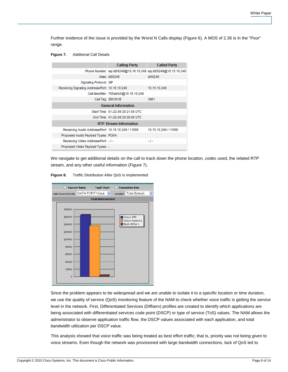Further evidence of the issue is provided by the Worst N Calls display (Figure 6). A MOS of 2.36 is in the "Poor" range.

**Figure 7.** Additional Call Details

|                                                    | <b>Calling Party</b>                   | <b>Called Party</b>                                             |  |  |  |  |  |  |  |  |  |
|----------------------------------------------------|----------------------------------------|-----------------------------------------------------------------|--|--|--|--|--|--|--|--|--|
|                                                    |                                        | Phone Number: sip:id00248@10.16.10.249 sip:id50248@10.15.10.249 |  |  |  |  |  |  |  |  |  |
|                                                    | Alias: id00248                         | id50248                                                         |  |  |  |  |  |  |  |  |  |
| Signaling Protocol: SIP                            |                                        |                                                                 |  |  |  |  |  |  |  |  |  |
| Receiving Signaling Address/Port: 10.16.10.249     |                                        | 10.15.10.249                                                    |  |  |  |  |  |  |  |  |  |
|                                                    | Call Identifier: 705dafc5@10.16.10.249 |                                                                 |  |  |  |  |  |  |  |  |  |
|                                                    | Call Tag: 2B5391B                      | 3961                                                            |  |  |  |  |  |  |  |  |  |
| <b>General Information</b>                         |                                        |                                                                 |  |  |  |  |  |  |  |  |  |
|                                                    | Start Time: 01-22-09 20:21:00 UTC      |                                                                 |  |  |  |  |  |  |  |  |  |
|                                                    | End Time: 01-22-09 20:26:00 UTC        |                                                                 |  |  |  |  |  |  |  |  |  |
|                                                    | <b>RTP Stream Information</b>          |                                                                 |  |  |  |  |  |  |  |  |  |
| Receiving Audio Address/Port: 10.16.10.249 / 11656 |                                        | 10.15.10.249 / 11656                                            |  |  |  |  |  |  |  |  |  |
| Proposed Audio Payload Types: PCMA                 |                                        |                                                                 |  |  |  |  |  |  |  |  |  |
| Receiving Video Address/Port: -/-                  |                                        | $-1-$                                                           |  |  |  |  |  |  |  |  |  |
| Proposed Video Payload Types: -                    |                                        |                                                                 |  |  |  |  |  |  |  |  |  |

We navigate to get additional details on the call to track down the phone location, codec used, the related RTP stream, and any other useful information (Figure 7).

**Figure 8.** Traffic Distribution After QoS Is Implemented



Since the problem appears to be widespread and we are unable to isolate it to a specific location or time duration, we use the quality of service (QoS) monitoring feature of the NAM to check whether voice traffic is getting the service level in the network. First, Differentiated Services (Diffserv) profiles are created to identify which applications are being associated with differentiated services code point (DSCP) or type of service (ToS) values. The NAM allows the administrator to observe application traffic flow, the DSCP values associated with each application, and total bandwidth utilization per DSCP value.

This analysis showed that voice traffic was being treated as best effort traffic; that is, priority was not being given to voice streams. Even though the network was provisioned with large bandwidth connections, lack of QoS led to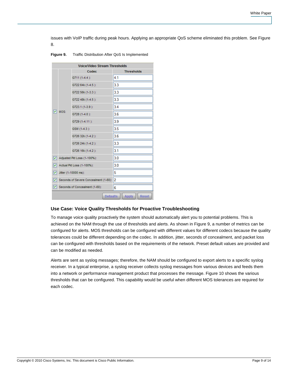issues with VoIP traffic during peak hours. Applying an appropriate QoS scheme eliminated this problem. See Figure 8.

| Figure 9. | Traffic Distribution After QoS Is Implemented |
|-----------|-----------------------------------------------|
|-----------|-----------------------------------------------|

|   | <b>Voice/Video Stream Thresholds</b> |                                       |                       |  |  |  |  |  |  |  |  |  |  |
|---|--------------------------------------|---------------------------------------|-----------------------|--|--|--|--|--|--|--|--|--|--|
|   |                                      | Codec                                 | <b>Thresholds</b>     |  |  |  |  |  |  |  |  |  |  |
|   |                                      | $G711(1-4.4)$ :                       | 4.1                   |  |  |  |  |  |  |  |  |  |  |
|   |                                      | G722 64k (1-4.5):                     | 3.3                   |  |  |  |  |  |  |  |  |  |  |
|   |                                      | G722 56k (1-3.3):                     | 3.3                   |  |  |  |  |  |  |  |  |  |  |
|   |                                      | G722 48k (1-4.5):                     | 3.3                   |  |  |  |  |  |  |  |  |  |  |
|   |                                      | G723.1 (1-3.9):                       | 3.4                   |  |  |  |  |  |  |  |  |  |  |
| 罓 | MOS:                                 | G728 (1-4.0):                         | 3.6                   |  |  |  |  |  |  |  |  |  |  |
|   |                                      | G729 (1-4.11):                        | 3.9                   |  |  |  |  |  |  |  |  |  |  |
|   |                                      | GSM (1-4.3):                          | 3.5                   |  |  |  |  |  |  |  |  |  |  |
|   |                                      | G726 32k (1-4.2):                     | 3.6                   |  |  |  |  |  |  |  |  |  |  |
|   |                                      | G726 24k (1-4.2):                     | 3.3                   |  |  |  |  |  |  |  |  |  |  |
|   |                                      | G726 16k (1-4.2):                     | 3.1                   |  |  |  |  |  |  |  |  |  |  |
| ☑ |                                      | Adjusted Pkt Loss (1-100%):           | 3.0                   |  |  |  |  |  |  |  |  |  |  |
| 罓 |                                      | Actual Pkt Loss (1-100%):             | 3.0                   |  |  |  |  |  |  |  |  |  |  |
| ⊡ |                                      | Jitter (1-10000 ms):                  | 5                     |  |  |  |  |  |  |  |  |  |  |
| 罓 |                                      | Seconds of Severe Concealment (1-60): | 2                     |  |  |  |  |  |  |  |  |  |  |
| M |                                      | Seconds of Concealment (1-60):        | 6                     |  |  |  |  |  |  |  |  |  |  |
|   |                                      | <b>Defaults</b>                       | <b>Reset</b><br>Apply |  |  |  |  |  |  |  |  |  |  |

#### <span id="page-8-0"></span>**Use Case: Voice Quality Thresholds for Proactive Troubleshooting**

To manage voice quality proactively the system should automatically alert you to potential problems. This is achieved on the NAM through the use of thresholds and alerts. As shown in Figure 9, a number of metrics can be configured for alerts. MOS thresholds can be configured with different values for different codecs because the quality tolerances could be different depending on the codec. In addition, jitter, seconds of concealment, and packet loss can be configured with thresholds based on the requirements of the network. Preset default values are provided and can be modified as needed.

Alerts are sent as syslog messages; therefore, the NAM should be configured to export alerts to a specific syslog receiver. In a typical enterprise, a syslog receiver collects syslog messages from various devices and feeds them into a network or performance management product that processes the message. Figure 10 shows the various thresholds that can be configured. This capability would be useful when different MOS tolerances are required for each codec.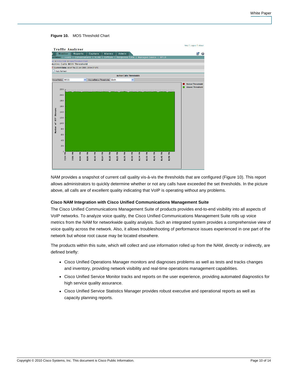#### **Figure 10.** MOS Threshold Chart

|                       |                   |         | <b>Traffic Analyzer</b>                           |         |         |                              |       |                                       |         |         |                    |      | Help   Logout   About                            |
|-----------------------|-------------------|---------|---------------------------------------------------|---------|---------|------------------------------|-------|---------------------------------------|---------|---------|--------------------|------|--------------------------------------------------|
|                       | <b>Monitor</b>    |         | Reports                                           |         | Capture | <b>Alarms</b>                | Admin |                                       |         |         |                    |      | 客<br>S                                           |
|                       |                   |         | e/Video   Hosts   Conversations   VLAN            |         |         | <b>DiffServ</b>              |       | Response Time   Managed Device   MPLS |         |         |                    |      |                                                  |
|                       |                   |         | eo + Active Calls + Alarm Threshold Chart         |         |         |                              |       |                                       |         |         |                    |      |                                                  |
|                       |                   |         | <b>Active Calls MOS Threshold</b>                 |         |         |                              |       |                                       |         |         |                    |      |                                                  |
|                       |                   |         | Current Data: as of Thu 22 Jan 2009, 20:54:07 UTC |         |         |                              |       |                                       |         |         |                    |      |                                                  |
|                       | Auto Refresh      |         |                                                   |         |         |                              |       |                                       |         |         |                    |      |                                                  |
|                       |                   |         |                                                   |         |         |                              |       | <b>Active Calls Thresholds</b>        |         |         |                    |      |                                                  |
|                       | Voice Metric: MOS |         |                                                   | ×       |         | Above/Below Thresholds: Both |       | ×                                     |         |         |                    |      |                                                  |
|                       |                   |         |                                                   |         |         |                              |       |                                       |         |         |                    |      | <b>Below Threshold</b><br><b>Above Threshold</b> |
|                       | 2200              |         |                                                   |         |         |                              |       |                                       |         |         |                    |      |                                                  |
|                       | 2000              |         |                                                   |         |         |                              |       |                                       |         |         |                    |      |                                                  |
|                       |                   |         |                                                   |         |         |                              |       |                                       |         |         |                    |      |                                                  |
|                       | 1800              |         |                                                   |         |         |                              |       |                                       |         |         |                    |      |                                                  |
|                       | 1600              |         |                                                   |         |         |                              |       |                                       |         |         |                    |      |                                                  |
|                       |                   |         |                                                   |         |         |                              |       |                                       |         |         |                    |      |                                                  |
|                       | 1400              |         |                                                   |         |         |                              |       |                                       |         |         |                    |      |                                                  |
|                       | 1200              |         |                                                   |         |         |                              |       |                                       |         |         |                    |      |                                                  |
| Number of RTP Streams | 1000              |         |                                                   |         |         |                              |       |                                       |         |         |                    |      |                                                  |
|                       |                   |         |                                                   |         |         |                              |       |                                       |         |         |                    |      |                                                  |
|                       | 800               |         |                                                   |         |         |                              |       |                                       |         |         |                    |      |                                                  |
|                       | 600               |         |                                                   |         |         |                              |       |                                       |         |         |                    |      |                                                  |
|                       | 400               |         |                                                   |         |         |                              |       |                                       |         |         |                    |      |                                                  |
|                       |                   |         |                                                   |         |         |                              |       |                                       |         |         |                    |      |                                                  |
|                       | 200               |         |                                                   |         |         |                              |       |                                       |         |         |                    |      |                                                  |
|                       | $\mathbf 0$       |         |                                                   |         |         |                              |       |                                       |         |         |                    |      |                                                  |
|                       |                   | 7:54 PM | 7:58 PM<br>8:82 PM                                | 8:86 PM | 8:10 PM | 8:14 PM<br>집                 | 조     | E<br><b>R138 PM</b>                   | 8:34 PM | 8:38 PM | 8:42 PM<br>8:46 PM | Ł    |                                                  |
|                       |                   |         |                                                   |         |         | 8:18                         | 8:22  | 8:26                                  |         |         |                    | 8:58 |                                                  |
|                       |                   |         |                                                   |         |         |                              |       |                                       |         |         |                    |      |                                                  |
|                       |                   |         |                                                   |         |         |                              |       |                                       |         |         |                    |      |                                                  |

NAM provides a snapshot of current call quality vis-à-vis the thresholds that are configured (Figure 10). This report allows administrators to quickly determine whether or not any calls have exceeded the set thresholds. In the picture above, all calls are of excellent quality indicating that VoIP is operating without any problems.

#### <span id="page-9-0"></span>**Cisco NAM Integration with Cisco Unified Communications Management Suite**

The Cisco Unified Communications Management Suite of products provides end-to-end visibility into all aspects of VoIP networks. To analyze voice quality, the Cisco Unified Communications Management Suite rolls up voice metrics from the NAM for networkwide quality analysis. Such an integrated system provides a comprehensive view of voice quality across the network. Also, it allows troubleshooting of performance issues experienced in one part of the network but whose root cause may be located elsewhere.

The products within this suite, which will collect and use information rolled up from the NAM, directly or indirectly, are defined briefly:

- Cisco Unified Operations Manager monitors and diagnoses problems as well as tests and tracks changes and inventory, providing network visibility and real-time operations management capabilities.
- Cisco Unified Service Monitor tracks and reports on the user experience, providing automated diagnostics for high service quality assurance.
- Cisco Unified Service Statistics Manager provides robust executive and operational reports as well as capacity planning reports.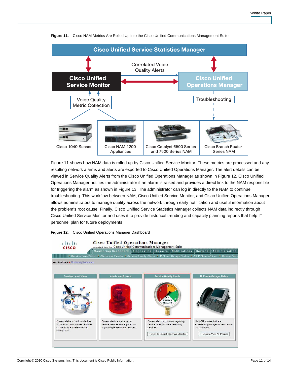

**Figure 11.** Cisco NAM Metrics Are Rolled Up into the Cisco Unified Communications Management Suite

Figure 11 shows how NAM data is rolled up by Cisco Unified Service Monitor. These metrics are processed and any resulting network alarms and alerts are exported to Cisco Unified Operations Manager. The alert details can be viewed in Service Quality Alerts from the Cisco Unified Operations Manager as shown in Figure 12. Cisco Unified Operations Manager notifies the administrator if an alarm is raised and provides a direct link to the NAM responsible for triggering the alarm as shown in Figure 13. The administrator can log in directly to the NAM to continue troubleshooting. This workflow between NAM, Cisco Unified Service Monitor, and Cisco Unified Operations Manager allows administrators to manage quality across the network through early notification and useful information about the problem's root cause. Finally, Cisco Unified Service Statistics Manager collects NAM data indirectly through Cisco Unified Service Monitor and uses it to provide historical trending and capacity planning reports that help IT personnel plan for future deployments.



**Figure 12.** Cisco Unified Operations Manager Dashboard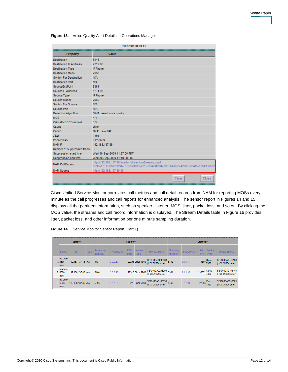|                               | Event ID: 000BEXZ                                                                                                                            |
|-------------------------------|----------------------------------------------------------------------------------------------------------------------------------------------|
| Property                      | Value                                                                                                                                        |
| <b>Destination</b>            | 5446                                                                                                                                         |
| <b>Destination IP Address</b> | 2.2.2.96                                                                                                                                     |
| <b>Destination Type</b>       | <b>IP Phone</b>                                                                                                                              |
| <b>Destination Model</b>      | 7960                                                                                                                                         |
| Switch For Destination        | N/A                                                                                                                                          |
| <b>Destination Port</b>       | N/A                                                                                                                                          |
| SourceFodPoint                | 5361                                                                                                                                         |
| Source IP Address             | 1.1.1.96                                                                                                                                     |
| Source Type                   | <b>IP Phone</b>                                                                                                                              |
| Source Model                  | 7960                                                                                                                                         |
| Switch For Source             | N/A                                                                                                                                          |
| Source Port                   | N/A                                                                                                                                          |
| <b>Detection Algorithm</b>    | NAM based voice quality                                                                                                                      |
| <b>MOS</b>                    | 4.4                                                                                                                                          |
| Critical MOS Threshold        | 3.5                                                                                                                                          |
| Cause                         | <b>Jitter</b>                                                                                                                                |
| Codec                         | G711Ulaw 64k                                                                                                                                 |
| <b>Jitter</b>                 | 1 <sub>ms</sub>                                                                                                                              |
| Packet loss                   | 0 Packets                                                                                                                                    |
| <b>NAM IP</b>                 | 192.168.137.86                                                                                                                               |
| Number of suppressed traps    | 3                                                                                                                                            |
| Suppression start time        | Wed 30-Sep-2009 11:27:00 PDT                                                                                                                 |
| Suppression end time          | Wed 30-Sep-2009 11:40:00 PDT                                                                                                                 |
| <b>NAM Call Details</b>       | http://192.168.137.86/monitor/stream/omStreams.php?<br>srclp=1.1.1.96&srcPort=51051&dstlp=2.2.2.96&dstPort=39014&ssrc=42799560&ts=1254336002 |
| <b>NAM</b> Source             | http://192.168.137.86:80                                                                                                                     |
|                               | Close<br>Clear                                                                                                                               |

**Figure 13.** Voice Quality Alert Details in Operations Manager

Cisco Unified Service Monitor correlates call metrics and call detail records from NAM for reporting MOSs every minute as the call progresses and call reports for enhanced analysis. The sensor report in Figures 14 and 15 displays all the pertinent information, such as speaker, listener, MOS, jitter, packet loss, and so on. By clicking the MOS value, the streams and call record information is displayed. The Stream Details table in Figure 16 provides jitter, packet loss, and other information per one minute sampling duration.

|  |  | <b>Figure 14.</b> Service Monitor Sensor Report (Part 1) |  |  |
|--|--|----------------------------------------------------------|--|--|
|--|--|----------------------------------------------------------|--|--|

|  |  |                              | Sensor             |             |                                   | Speaker           |                           | Listener                     |                                           |                     |                   |                    |                              |                                      |  |  |
|--|--|------------------------------|--------------------|-------------|-----------------------------------|-------------------|---------------------------|------------------------------|-------------------------------------------|---------------------|-------------------|--------------------|------------------------------|--------------------------------------|--|--|
|  |  | <b>Name</b>                  | ID                 | <b>Type</b> | <b>Directory</b><br><b>Number</b> | <b>IP Address</b> | <b>UDP</b><br><b>Port</b> | <b>Device</b><br><b>Type</b> | <b>Device Name</b>                        | Directory<br>Number | <b>IP Address</b> | <b>UDP</b><br>Port | <b>Device</b><br><b>Type</b> | Device Name                          |  |  |
|  |  | hq-core-<br>$.6506 -$<br>nam | 192.168.137.86 NAM |             | 5437                              | 2.2.2.87          |                           | 22291 Cisco 7960             | SEP000CA0206086 5352<br>(HQCCM60Cluster1) |                     | 1.1.1.87          | 35300              | Cisco<br>7960                | SEP000CA0105136<br>(HQCCM60Cluster1) |  |  |
|  |  | hq-core-<br>2.6506-<br>nam   | 192.168.137.86 NAM |             | 5446                              | 2.2.2.96          |                           |                              | 22313 Cisco 7960 SEP000CA0206095 5361     |                     | 1.1.1.96          | 35322 Cisco        |                              | SEP000CA0105145<br>(HQCCM60Cluster1) |  |  |
|  |  | hq-core-<br>3.6506-<br>nam   | 192.168.137.86 NAM |             | 5355                              | 1.1.1.90          |                           | 35272 Cisco 7960             | SEP000CA0105139<br>(HQCCM60Cluster1       | 5440                | 2.2.2.90          | 22263              | Cisco<br>7960                | SEP000CA0206089<br>(HQCCM60Cluster1) |  |  |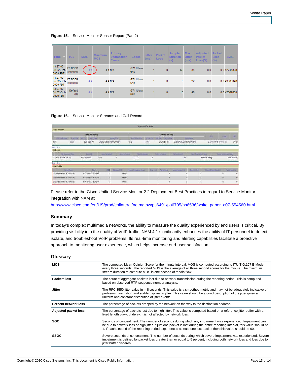**Figure 15.** Service Monitor Sensor Report (Part 2)

| Time<br>V.                          | <b>TOS</b>                 | <b>MOS</b> | Minimum<br><b>MOS</b> | <b>Primary</b><br><b>Degradation</b><br>Cause | Codec                       | <b>Jitter</b><br>(ms) | Packet<br>Loss | Sample<br><b>Duration</b><br>(s) | <b>Max</b><br><b>Jitter</b><br>(ms) | Adjusted<br>Packet<br>$Loss(\%)$ | Packet<br>Loss<br>(%) | <b>SSRC</b>  |
|-------------------------------------|----------------------------|------------|-----------------------|-----------------------------------------------|-----------------------------|-----------------------|----------------|----------------------------------|-------------------------------------|----------------------------------|-----------------------|--------------|
| 13:27:00<br>Fri 02-Oct-<br>2009 PDT | <b>EF DSCP</b><br>(101010) | 4.4        |                       | $4.4$ N/A                                     | G711Ulaw<br>64k             |                       | 0              | 60                               | 34                                  | 0.0                              |                       | 0.0 42741328 |
| 13:27:00<br>Fri 02-Oct-<br>2009 PDT | <b>EF DSCP</b><br>(101010) | 4.4        |                       | 4.4 N/A                                       | G711Ulaw<br>64 <sub>k</sub> |                       | 0              | 5                                | 22                                  | 0.0                              |                       | 0.0 43389048 |
| 13:27:00<br>Fri 02-Oct-<br>2009 PDT | Default<br>(0)             | 4.4        |                       | $4.4$ N/A                                     | G711Ulaw<br>64k             |                       | 0              | 16                               | 40                                  | 0.0                              |                       | 0.0 42367880 |

#### **Figure 16.** Service Monitor Streams and Call Record

|                                         |                       |                                |                                 |                     |                                | <b>Mreams and Call Record</b> |                |                             |                                 |                                   |                          |                              |                             |
|-----------------------------------------|-----------------------|--------------------------------|---------------------------------|---------------------|--------------------------------|-------------------------------|----------------|-----------------------------|---------------------------------|-----------------------------------|--------------------------|------------------------------|-----------------------------|
| tiream Summary                          |                       |                                |                                 |                     |                                |                               |                |                             |                                 |                                   |                          |                              |                             |
|                                         |                       | Speaker (Calling Party)        |                                 |                     |                                |                               |                | Listener (Called Rarty)     |                                 |                                   | 391                      |                              | 加定                          |
| <b>Hinney Roman</b>                     | <b>IP Actives</b>     | <b>UUFFIEL DIRECTING</b>       |                                 | <b>Betwa Nerris</b> | <b>Oliverner Warnish</b>       | <b>MAGINAL</b>                |                | <b>Starbert George Type</b> |                                 | <b>Described</b>                  |                          | <b>Curry</b>                 |                             |
| 1.5437                                  | 22287                 | 22291 Class 7960               | SEP000C48288888HQCOI60Cluster1) |                     | 5352                           | 111.87                        |                | 35300 Disco 7941            | SEP000CA010S1360HQOCMSBOLster1) |                                   |                          | EF DECR (191816) G711Uau 640 | 42741328                    |
| Back to Top                             |                       |                                |                                 |                     |                                |                               |                |                             |                                 |                                   |                          |                              |                             |
| Call Record                             |                       |                                |                                 |                     |                                |                               |                |                             |                                 |                                   |                          |                              |                             |
| Califference Time                       |                       | <b>Closed HI</b>               | 15 Janet Summitted BR           | <b>CHIFFEEDING</b>  | Called Noblassa UP             |                               | Called ILESHAM |                             | <b>CattleWinner</b>             | <b>Called Thompson at Council</b> |                          | <b>CHAI THRIGHAN CHAIR</b>   |                             |
| 1 13:58:06 PH 02-De5-2009 PDT           |                       | HOCCMBEDLabert                 | 12287                           |                     | 1.1.1.87                       |                               |                |                             | 150                             |                                   | Normal call dearing      |                              | <b>Normal call clearing</b> |
| Back to Top                             |                       |                                |                                 |                     |                                |                               |                |                             |                                 |                                   |                          |                              |                             |
| <b>Stream Details</b>                   |                       |                                |                                 |                     |                                |                               |                |                             |                                 |                                   |                          |                              |                             |
|                                         | <b>Barcery Vatton</b> | <b>Time</b>                    | <b>INDE</b>                     | <b>MUSEUM HILL</b>  | <b>Flinds Department Close</b> | <b>CENT DIAL</b>              |                | Peterson                    | April 10 Streets Ltd.           | <b>TELEVIN HOLE</b>               | America Partiet Lincoln. |                              | Hamal Lond (N)              |
| 1 hs core 6506 nam (192, 169, 157, 66). |                       | 13:27:18 Fri 02-0 cl-2009 FDR  | $^{11}$                         | <b>All filte</b>    |                                |                               |                |                             | 钼                               | 33                                |                          | $\mathfrak{h}$               | 0.0                         |
| 2 hp-core-6506-nam (192.168.137.66)     |                       | 13:27:00 Pri 02-0cf-2009 PDT   | 44.                             | 4.4 liste           |                                |                               |                |                             | 40                              | 34                                |                          | 10                           | 0.0                         |
| 3 hs-core-6506-nan (192.168.127.96)     |                       | 13:26:88 Fri \$2.0 (4.2009 FOT | $\pm i$                         | 11 litte            |                                |                               |                |                             | 28                              | $_{15}$                           |                          | $\mathfrak{h}$               | 0.0                         |

Please refer to the Cisco Unified Service Monitor 2.2 Deployment Best Practices in regard to Service Monitor integration with NAM at

[http://www.cisco.com/en/US/prod/collateral/netmgtsw/ps6491/ps6705/ps6536/white\\_paper\\_c07-554560.html.](http://www.cisco.com/en/US/prod/collateral/netmgtsw/ps6491/ps6705/ps6536/white_paper_c07-554560.html)

#### <span id="page-12-0"></span>**Summary**

In today's complex multimedia networks, the ability to measure the quality experienced by end users is critical. By providing visibility into the quality of VoIP traffic, NAM 4.1 significantly enhances the ability of IT personnel to detect, isolate, and troubleshoot VoIP problems. Its real-time monitoring and alerting capabilities facilitate a proactive approach to monitoring user experience, which helps increase end-user satisfaction.

#### <span id="page-12-1"></span>**Glossary**

| <b>MOS</b>                  | The computed Mean Opinion Score for the minute interval. MOS is computed according to ITU-T G.107 E-Model<br>every three seconds. The reported MOS is the average of all three second scores for the minute. The minimum<br>stream duration to compute MOS is one second of media flow.                                                                   |
|-----------------------------|-----------------------------------------------------------------------------------------------------------------------------------------------------------------------------------------------------------------------------------------------------------------------------------------------------------------------------------------------------------|
| Packets lost                | The count of aggregate packets lost due to network transmission during the reporting period. This is computed<br>based on observed RTP sequence number analysis.                                                                                                                                                                                          |
| <b>Jitter</b>               | The RFC 3550 jitter value in milliseconds. This value is a smoothed metric and may not be adequately indicative of<br>problems given short and sudden spikes in jitter. This value should be a good description of the jitter given a<br>uniform and constant distribution of jitter events.                                                              |
| Percent network loss        | The percentage of packets dropped by the network on the way to the destination address.                                                                                                                                                                                                                                                                   |
| <b>Adjusted packet loss</b> | The percentage of packets lost due to high jitter. This value is computed based on a reference jitter buffer with a<br>fixed length play-out delay. It is not affected by network loss.                                                                                                                                                                   |
| <b>SOC</b>                  | Seconds of concealment. The number of seconds during which any impairment was experienced. Impairment can<br>be due to network loss or high jitter. If just one packet is lost during the entire reporting interval, this value should be<br>1. If each second of the reporting period experiences at least one lost packet then this value should be 60. |
| <b>SSOC</b>                 | Severe seconds of concealment. The number of seconds during which severe impairment was experienced. Severe<br>impairment is defined by packet loss greater than or equal to 5 percent, including both network loss and loss due to<br>iitter buffer discards.                                                                                            |